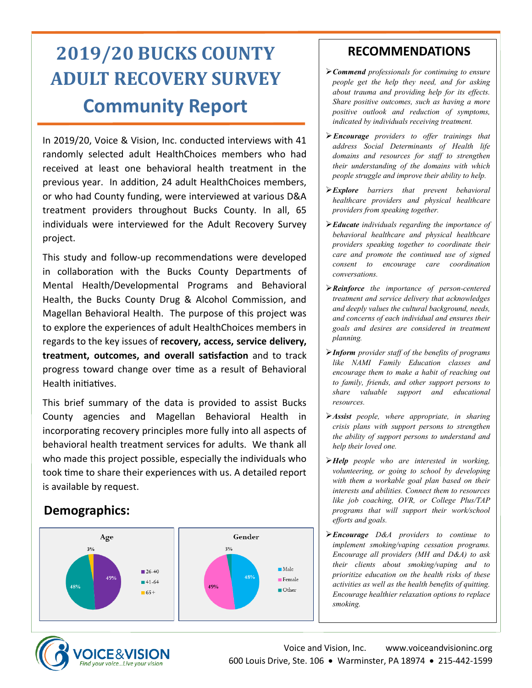# **2019/20 BUCKS COUNTY ADULT RECOVERY SURVEY Community Report**

In 2019/20, Voice & Vision, Inc. conducted interviews with 41 randomly selected adult HealthChoices members who had received at least one behavioral health treatment in the previous year. In addition, 24 adult HealthChoices members, or who had County funding, were interviewed at various D&A treatment providers throughout Bucks County. In all, 65 individuals were interviewed for the Adult Recovery Survey project.

This study and follow-up recommendations were developed in collaboration with the Bucks County Departments of Mental Health/Developmental Programs and Behavioral Health, the Bucks County Drug & Alcohol Commission, and Magellan Behavioral Health. The purpose of this project was to explore the experiences of adult HealthChoices members in regards to the key issues of **recovery, access, service delivery, treatment, outcomes, and overall satisfaction** and to track progress toward change over time as a result of Behavioral Health initiatives.

This brief summary of the data is provided to assist Bucks County agencies and Magellan Behavioral Health in incorporating recovery principles more fully into all aspects of behavioral health treatment services for adults. We thank all who made this project possible, especially the individuals who took time to share their experiences with us. A detailed report is available by request.

### **Demographics:**



## **RECOMMENDATIONS**

- ➢*Commend professionals for continuing to ensure people get the help they need, and for asking about trauma and providing help for its effects. Share positive outcomes, such as having a more positive outlook and reduction of symptoms, indicated by individuals receiving treatment.*
- ➢*Encourage providers to offer trainings that address Social Determinants of Health life domains and resources for staff to strengthen their understanding of the domains with which people struggle and improve their ability to help.*
- ➢*Explore barriers that prevent behavioral healthcare providers and physical healthcare providers from speaking together.*
- ➢*Educate individuals regarding the importance of behavioral healthcare and physical healthcare providers speaking together to coordinate their care and promote the continued use of signed consent to encourage care coordination conversations.*
- ➢*Reinforce the importance of person-centered treatment and service delivery that acknowledges and deeply values the cultural background, needs, and concerns of each individual and ensures their goals and desires are considered in treatment planning.*
- ➢*Inform provider staff of the benefits of programs like NAMI Family Education classes and encourage them to make a habit of reaching out to family, friends, and other support persons to share valuable support and educational resources.*
- ➢*Assist people, where appropriate, in sharing crisis plans with support persons to strengthen the ability of support persons to understand and help their loved one.*
- ➢*Help people who are interested in working, volunteering, or going to school by developing with them a workable goal plan based on their interests and abilities. Connect them to resources like job coaching, OVR, or College Plus/TAP programs that will support their work/school efforts and goals.*
- ➢*Encourage D&A providers to continue to implement smoking/vaping cessation programs. Encourage all providers (MH and D&A) to ask their clients about smoking/vaping and to prioritize education on the health risks of these activities as well as the health benefits of quitting. Encourage healthier relaxation options to replace smoking.*

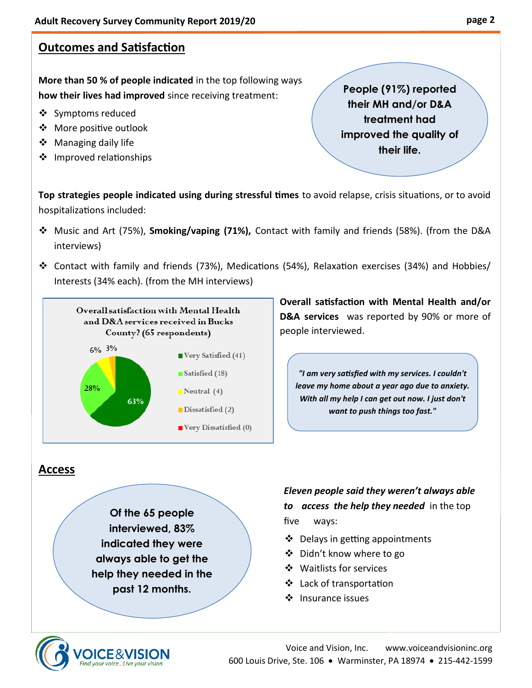# **Outcomes and Satisfaction**

**More than 50 % of people indicated** in the top following ways **how their lives had improved** since receiving treatment:

- ❖ Symptoms reduced
- ❖ More positive outlook
- ❖ Managing daily life
- ❖ Improved relationships

**People (91%) reported their MH and/or D&A treatment had improved the quality of their life.**

**Top strategies people indicated using during stressful times** to avoid relapse, crisis situations, or to avoid hospitalizations included:

- ❖ Music and Art (75%), **Smoking/vaping (71%),** Contact with family and friends (58%). (from the D&A interviews)
- ❖ Contact with family and friends (73%), Medications (54%), Relaxation exercises (34%) and Hobbies/ Interests (34% each). (from the MH interviews)



**Overall satisfaction with Mental Health and/or D&A services** was reported by 90% or more of people interviewed.

*"I am very satisfied with my services. I couldn't leave my home about a year ago due to anxiety. With all my help I can get out now. I just don't want to push things too fast."*

#### **Access**

**Of the 65 people interviewed, 83% indicated they were always able to get the help they needed in the past 12 months.**

 *Eleven people said they weren't always able to access the help they needed* in the top five ways:

- ❖ Delays in getting appointments
- ❖ Didn't know where to go
- ❖ Waitlists for services
- ❖ Lack of transportation
- ❖ Insurance issues

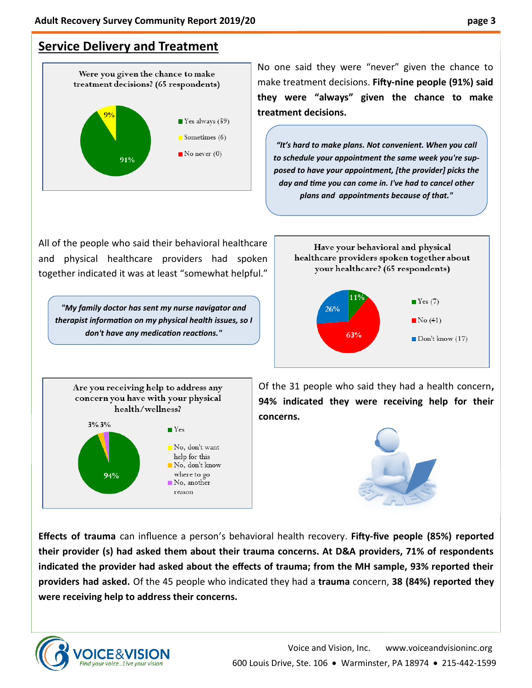# **Service Delivery and Treatment**



All of the people who said their behavioral healthcare and physical healthcare providers had spoken together indicated it was at least "somewhat helpful."

*"My family doctor has sent my nurse navigator and therapist information on my physical health issues, so I don't have any medication reactions."*

No one said they were "never" given the chance to make treatment decisions. **Fifty-nine people (91%) said they were "always" given the chance to make treatment decisions.** 

*"It's hard to make plans. Not convenient. When you call to schedule your appointment the same week you're supposed to have your appointment, [the provider] picks the day and time you can come in. I've had to cancel other plans and appointments because of that."* 



Are you receiving help to address any concern you have with your physical health/wellness?  $3\%3\%$  $\blacksquare$  Yes  $\blacksquare$  No, don't want help for this  $\blacksquare$  No, don't know 94% where to go No, another reason

Of the 31 people who said they had a health concern**, 94% indicated they were receiving help for their concerns.**



**Effects of trauma** can influence a person's behavioral health recovery. **Fifty-five people (85%) reported their provider (s) had asked them about their trauma concerns. At D&A providers, 71% of respondents indicated the provider had asked about the effects of trauma; from the MH sample, 93% reported their providers had asked.** Of the 45 people who indicated they had a **trauma** concern, **38 (84%) reported they were receiving help to address their concerns.**